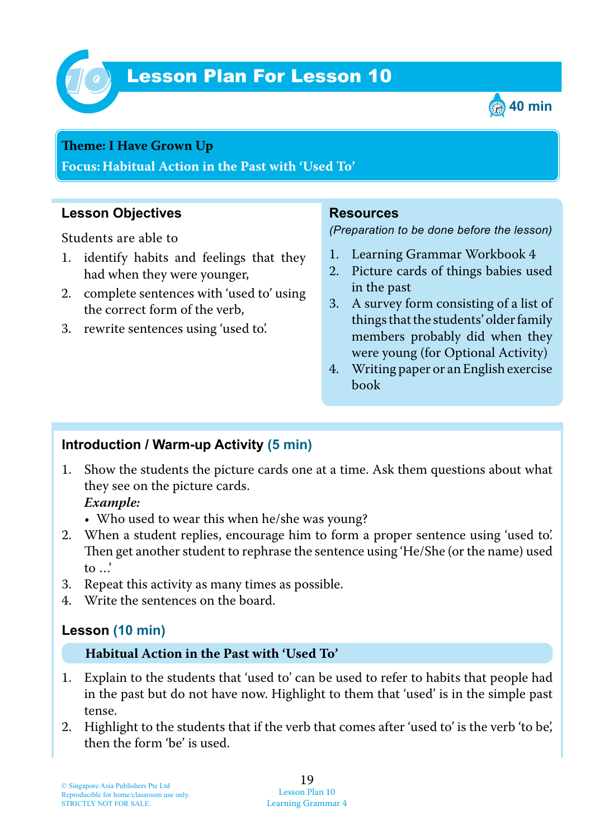

# Lesson Plan For Lesson 10 *10*



#### **Teme : I Have Grown Up**

**Focus: Habitual Action in the Past with 'Used To'**

#### **Lesson Objectives**

Students are able to

- 1. identify habits and feelings that they had when they were younger,
- 2. complete sentences with 'used to' using the correct form of the verb,
- 3. rewrite sentences using 'used to'.

#### **Resources**

*(Preparation to be done before the lesson)*

- 1. Learning Grammar Workbook 4
- 2. Picture cards of things babies used in the past
- 3. A survey form consisting of a list of things that the students' older family members probably did when they were young (for Optional Activity)
- 4. Writing paper or an English exercise book

## **Introduction / Warm-up Activity (5 min)**

1. Show the students the picture cards one at a time. Ask them questions about what they see on the picture cards.

 *Example:*

- Who used to wear this when he/she was young?
- 2. When a student replies, encourage him to form a proper sentence using 'used to'. Then get another student to rephrase the sentence using 'He/She (or the name) used to …'
- 3. Repeat this activity as many times as possible.
- 4. Write the sentences on the board.

## **Lesson (10 min)**

#### **Habitual Action in the Past with 'Used To'**

- 1. Explain to the students that 'used to' can be used to refer to habits that people had in the past but do not have now. Highlight to them that 'used' is in the simple past tense.
- 2. Highlight to the students that if the verb that comes after 'used to' is the verb 'to be', then the form 'be' is used.